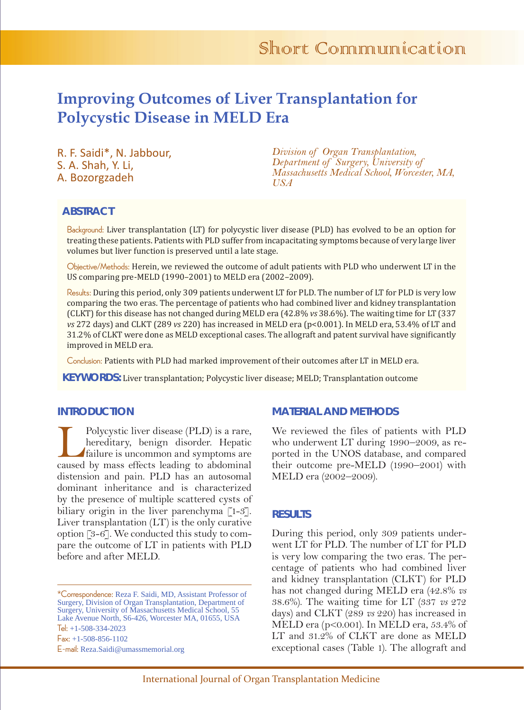# **Improving Outcomes of Liver Transplantation for Polycystic Disease in MELD Era**

R. F. Saidi\*, N. Jabbour, S. A. Shah, Y. Li, A. Bozorgzadeh

*Division of Organ Transplantation, Department of Surgery, University of Massachusetts Medical School, Worcester, MA, USA*

# **ABSTRACT**

Background: Liver transplantation (LT) for polycystic liver disease (PLD) has evolved to be an option for treating these patients. Patients with PLD suffer from incapacitating symptoms because of very large liver volumes but liver function is preserved until a late stage.

Objective/Methods: Herein, we reviewed the outcome of adult patients with PLD who underwent LT in the US comparing pre-MELD (1990–2001) to MELD era (2002–2009).

Results: During this period, only 309 patients underwent LT for PLD. The number of LT for PLD is very low comparing the two eras. The percentage of patients who had combined liver and kidney transplantation (CLKT) for this disease has not changed during MELD era (42.8% *vs* 38.6%). The waiting time for LT (337 *vs* 272 days) and CLKT (289 *vs* 220) has increased in MELD era (p<0.001). In MELD era, 53.4% of LT and 31.2% of CLKT were done as MELD exceptional cases. The allograft and patent survival have significantly improved in MELD era.

Conclusion: Patients with PLD had marked improvement of their outcomes after LT in MELD era.

**KEYWORDS:** Liver transplantation; Polycystic liver disease; MELD; Transplantation outcome

## **INTRODUCTION**

Polycystic liver disease (PLD) is a rare,<br>hereditary, benign disorder. Hepatic<br>failure is uncommon and symptoms are<br>caused by mass effects leading to abdominal hereditary, benign disorder. Hepatic failure is uncommon and symptoms are caused by mass effects leading to abdominal distension and pain. PLD has an autosomal dominant inheritance and is characterized by the presence of multiple scattered cysts of biliary origin in the liver parenchyma [1-3]. Liver transplantation (LT) is the only curative option [3-6]. We conducted this study to compare the outcome of LT in patients with PLD before and after MELD.

## **MATERIAL AND METHODS**

We reviewed the files of patients with PLD who underwent LT during 1990–2009, as reported in the UNOS database, and compared their outcome pre-MELD (1990–2001) with MELD era (2002–2009).

#### **RESULTS**

During this period, only 309 patients underwent LT for PLD. The number of LT for PLD is very low comparing the two eras. The percentage of patients who had combined liver and kidney transplantation (CLKT) for PLD has not changed during MELD era (42.8% *vs* 38.6%). The waiting time for LT (337 *vs* 272 days) and CLKT (289 *vs* 220) has increased in MELD era (p<0.001). In MELD era, 53.4% of LT and 31.2% of CLKT are done as MELD exceptional cases (Table 1). The allograft and

<sup>\*</sup>Correspondence: Reza F. Saidi, MD, Assistant Professor of Surgery, Division of Organ Transplantation, Department of Surgery, University of Massachusetts Medical School, 55 Lake Avenue North, S6-426, Worcester MA, 01655, USA Tel: +1-508-334-2023 Fax: +1-508-856-1102 E-mail: Reza.Saidi@umassmemorial.org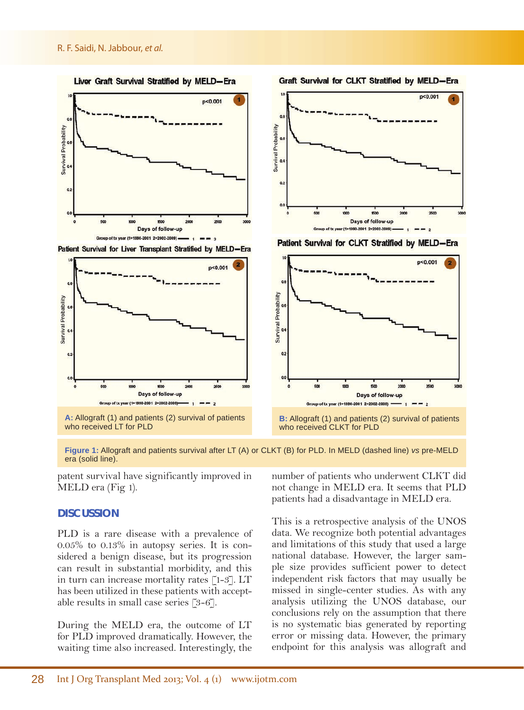#### R. F. Saidi, N. Jabbour, *et al.*



**Figure 1:** Allograft and patients survival after LT (A) or CLKT (B) for PLD. In MELD (dashed line) *vs* pre-MELD era (solid line).

patent survival have significantly improved in MELD era (Fig 1).

#### **DISCUSSION**

PLD is a rare disease with a prevalence of 0.05% to 0.13% in autopsy series. It is considered a benign disease, but its progression can result in substantial morbidity, and this in turn can increase mortality rates [1-3]. LT has been utilized in these patients with acceptable results in small case series [3-6].

During the MELD era, the outcome of LT for PLD improved dramatically. However, the waiting time also increased. Interestingly, the number of patients who underwent CLKT did not change in MELD era. It seems that PLD patients had a disadvantage in MELD era.

This is a retrospective analysis of the UNOS data. We recognize both potential advantages and limitations of this study that used a large national database. However, the larger sample size provides sufficient power to detect independent risk factors that may usually be missed in single-center studies. As with any analysis utilizing the UNOS database, our conclusions rely on the assumption that there is no systematic bias generated by reporting error or missing data. However, the primary endpoint for this analysis was allograft and